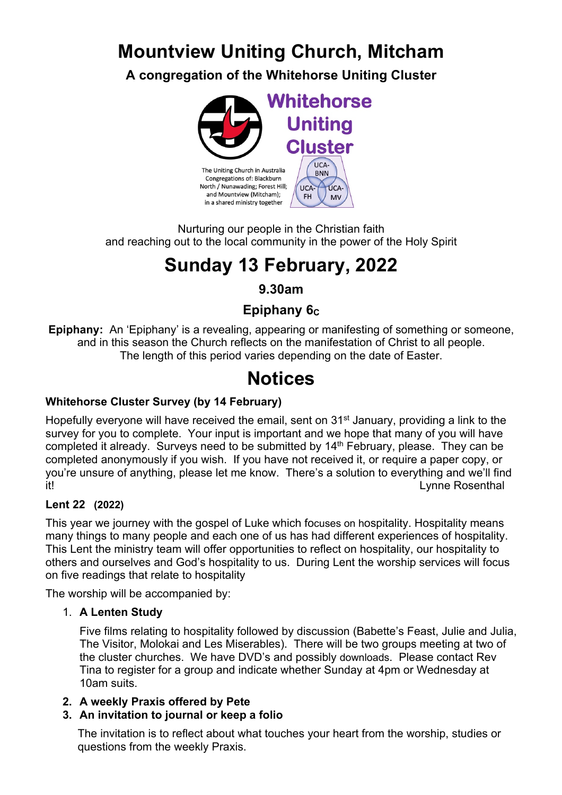# **Mountview Uniting Church, Mitcham**

**A congregation of the Whitehorse Uniting Cluster**



Nurturing our people in the Christian faith and reaching out to the local community in the power of the Holy Spirit

# **Sunday 13 February, 2022**

## **9.30am**

## **Epiphany 6c**

**Epiphany:** An 'Epiphany' is a revealing, appearing or manifesting of something or someone, and in this season the Church reflects on the manifestation of Christ to all people. The length of this period varies depending on the date of Easter.

# **Notices**

## **Whitehorse Cluster Survey (by 14 February)**

Hopefully everyone will have received the email, sent on 31<sup>st</sup> January, providing a link to the survey for you to complete. Your input is important and we hope that many of you will have completed it already. Surveys need to be submitted by 14<sup>th</sup> February, please. They can be completed anonymously if you wish. If you have not received it, or require a paper copy, or you're unsure of anything, please let me know. There's a solution to everything and we'll find it! Lynne Rosenthal

### **Lent 22 (2022)**

This year we journey with the gospel of Luke which focuses on hospitality. Hospitality means many things to many people and each one of us has had different experiences of hospitality. This Lent the ministry team will offer opportunities to reflect on hospitality, our hospitality to others and ourselves and God's hospitality to us. During Lent the worship services will focus on five readings that relate to hospitality

The worship will be accompanied by:

### 1. **A Lenten Study**

Five films relating to hospitality followed by discussion (Babette's Feast, Julie and Julia, The Visitor, Molokai and Les Miserables). There will be two groups meeting at two of the cluster churches. We have DVD's and possibly downloads. Please contact Rev Tina to register for a group and indicate whether Sunday at 4pm or Wednesday at 10am suits.

### **2. A weekly Praxis offered by Pete**

### **3. An invitation to journal or keep a folio**

The invitation is to reflect about what touches your heart from the worship, studies or questions from the weekly Praxis.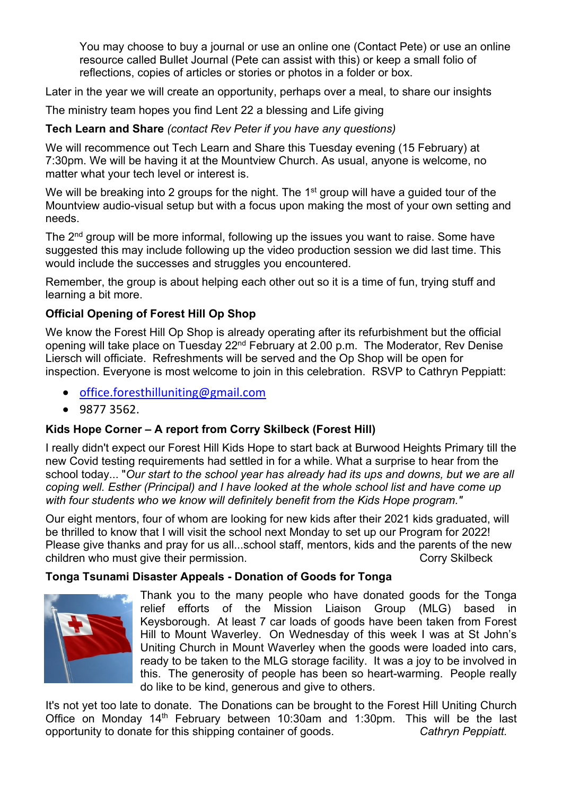You may choose to buy a journal or use an online one (Contact Pete) or use an online resource called Bullet Journal (Pete can assist with this) or keep a small folio of reflections, copies of articles or stories or photos in a folder or box.

Later in the year we will create an opportunity, perhaps over a meal, to share our insights

The ministry team hopes you find Lent 22 a blessing and Life giving

#### **Tech Learn and Share** *(contact Rev Peter if you have any questions)*

We will recommence out Tech Learn and Share this Tuesday evening (15 February) at 7:30pm. We will be having it at the Mountview Church. As usual, anyone is welcome, no matter what your tech level or interest is.

We will be breaking into 2 groups for the night. The 1<sup>st</sup> group will have a guided tour of the Mountview audio-visual setup but with a focus upon making the most of your own setting and needs.

The 2<sup>nd</sup> group will be more informal, following up the issues you want to raise. Some have suggested this may include following up the video production session we did last time. This would include the successes and struggles you encountered.

Remember, the group is about helping each other out so it is a time of fun, trying stuff and learning a bit more.

#### **Official Opening of Forest Hill Op Shop**

We know the Forest Hill Op Shop is already operating after its refurbishment but the official opening will take place on Tuesday 22<sup>nd</sup> February at 2.00 p.m. The Moderator, Rev Denise Liersch will officiate. Refreshments will be served and the Op Shop will be open for inspection. Everyone is most welcome to join in this celebration. RSVP to Cathryn Peppiatt:

- office.foresthilluniting@gmail.com
- 9877 3562.

#### **Kids Hope Corner – A report from Corry Skilbeck (Forest Hill)**

I really didn't expect our Forest Hill Kids Hope to start back at Burwood Heights Primary till the new Covid testing requirements had settled in for a while. What a surprise to hear from the school today... "*Our start to the school year has already had its ups and downs, but we are all coping well. Esther (Principal) and I have looked at the whole school list and have come up with four students who we know will definitely benefit from the Kids Hope program."*

Our eight mentors, four of whom are looking for new kids after their 2021 kids graduated, will be thrilled to know that I will visit the school next Monday to set up our Program for 2022! Please give thanks and pray for us all...school staff, mentors, kids and the parents of the new children who must give their permission. The corry Skilbeck corry Skilbeck

#### **Tonga Tsunami Disaster Appeals - Donation of Goods for Tonga**



Thank you to the many people who have donated goods for the Tonga relief efforts of the Mission Liaison Group (MLG) based in Keysborough. At least 7 car loads of goods have been taken from Forest Hill to Mount Waverley. On Wednesday of this week I was at St John's Uniting Church in Mount Waverley when the goods were loaded into cars, ready to be taken to the MLG storage facility. It was a joy to be involved in this. The generosity of people has been so heart-warming. People really do like to be kind, generous and give to others.

It's not yet too late to donate. The Donations can be brought to the Forest Hill Uniting Church Office on Monday 14th February between 10:30am and 1:30pm. This will be the last opportunity to donate for this shipping container of goods. *Cathryn Peppiatt.*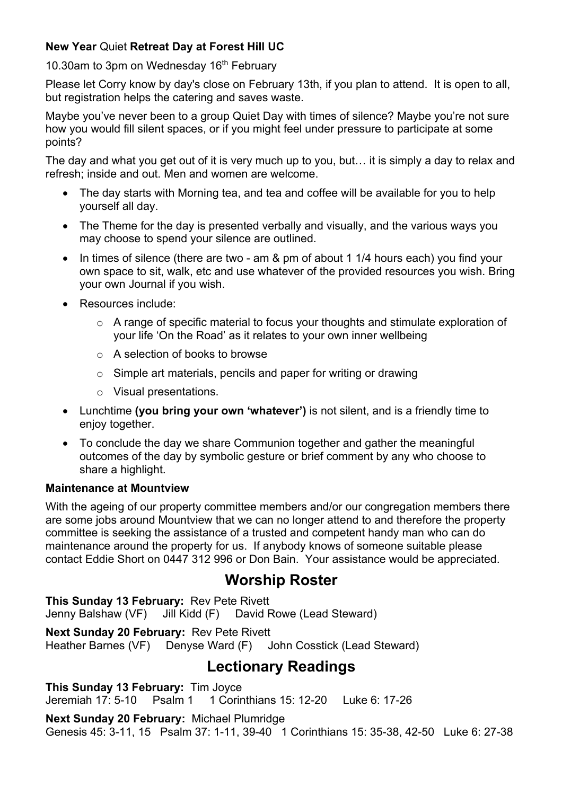#### **New Year** Quiet **Retreat Day at Forest Hill UC**

10.30am to 3pm on Wednesday 16<sup>th</sup> February

Please let Corry know by day's close on February 13th, if you plan to attend. It is open to all, but registration helps the catering and saves waste.

Maybe you've never been to a group Quiet Day with times of silence? Maybe you're not sure how you would fill silent spaces, or if you might feel under pressure to participate at some points?

The day and what you get out of it is very much up to you, but… it is simply a day to relax and refresh; inside and out. Men and women are welcome.

- The day starts with Morning tea, and tea and coffee will be available for you to help yourself all day.
- The Theme for the day is presented verbally and visually, and the various ways you may choose to spend your silence are outlined.
- In times of silence (there are two am & pm of about 1 1/4 hours each) you find your own space to sit, walk, etc and use whatever of the provided resources you wish. Bring your own Journal if you wish.
- Resources include:
	- o A range of specific material to focus your thoughts and stimulate exploration of your life 'On the Road' as it relates to your own inner wellbeing
	- o A selection of books to browse
	- o Simple art materials, pencils and paper for writing or drawing
	- o Visual presentations.
- Lunchtime **(you bring your own 'whatever')** is not silent, and is a friendly time to enjoy together.
- To conclude the day we share Communion together and gather the meaningful outcomes of the day by symbolic gesture or brief comment by any who choose to share a highlight.

#### **Maintenance at Mountview**

With the ageing of our property committee members and/or our congregation members there are some jobs around Mountview that we can no longer attend to and therefore the property committee is seeking the assistance of a trusted and competent handy man who can do maintenance around the property for us. If anybody knows of someone suitable please contact Eddie Short on 0447 312 996 or Don Bain. Your assistance would be appreciated.

# **Worship Roster**

**This Sunday 13 February:** Rev Pete Rivett Jenny Balshaw (VF) Jill Kidd (F) David Rowe (Lead Steward)

**Next Sunday 20 February:** Rev Pete Rivett Heather Barnes (VF) Denyse Ward (F) John Cosstick (Lead Steward)

# **Lectionary Readings**

**This Sunday 13 February:** Tim Joyce Jeremiah 17: 5-10 Psalm 1 1 Corinthians 15: 12-20 Luke 6: 17-26

**Next Sunday 20 February:** Michael Plumridge Genesis 45: 3-11, 15 Psalm 37: 1-11, 39-40 1 Corinthians 15: 35-38, 42-50 Luke 6: 27-38